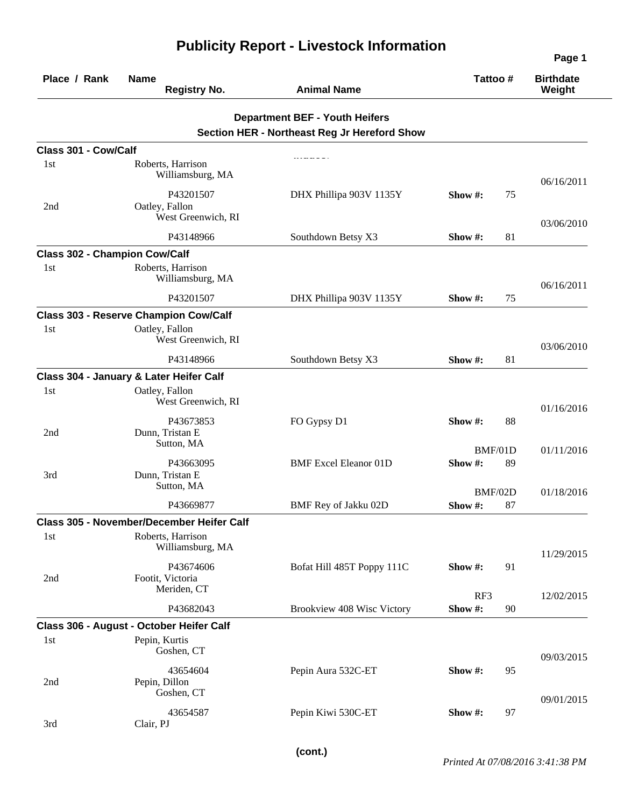| Place / Rank                         | <b>Name</b><br><b>Registry No.</b>                | <b>Animal Name</b>                           |               | Tattoo#       | <b>Birthdate</b><br>Weight |
|--------------------------------------|---------------------------------------------------|----------------------------------------------|---------------|---------------|----------------------------|
|                                      |                                                   | <b>Department BEF - Youth Heifers</b>        |               |               |                            |
|                                      |                                                   | Section HER - Northeast Reg Jr Hereford Show |               |               |                            |
| Class 301 - Cow/Calf                 |                                                   |                                              |               |               |                            |
| 1st                                  | Roberts, Harrison<br>Williamsburg, MA             |                                              |               |               | 06/16/2011                 |
| 2nd                                  | P43201507<br>Oatley, Fallon<br>West Greenwich, RI | DHX Phillipa 903V 1135Y                      | Show $\#$ :   | 75            |                            |
|                                      | P43148966                                         | Southdown Betsy X3                           | Show $#$ :    | 81            | 03/06/2010                 |
| <b>Class 302 - Champion Cow/Calf</b> |                                                   |                                              |               |               |                            |
| 1 <sub>st</sub>                      | Roberts, Harrison<br>Williamsburg, MA             |                                              |               |               | 06/16/2011                 |
|                                      | P43201507                                         | DHX Phillipa 903V 1135Y                      | Show $#$ :    | 75            |                            |
|                                      | <b>Class 303 - Reserve Champion Cow/Calf</b>      |                                              |               |               |                            |
| 1 <sub>st</sub>                      | Oatley, Fallon<br>West Greenwich, RI              |                                              |               |               | 03/06/2010                 |
|                                      | P43148966                                         | Southdown Betsy X3                           | Show $#$ :    | 81            |                            |
|                                      | Class 304 - January & Later Heifer Calf           |                                              |               |               |                            |
| 1st                                  | Oatley, Fallon<br>West Greenwich, RI              |                                              |               |               | 01/16/2016                 |
| 2nd                                  | P43673853<br>Dunn, Tristan E                      | FO Gypsy D1                                  | Show $#$ :    | 88            |                            |
|                                      | Sutton, MA                                        |                                              |               | BMF/01D       | 01/11/2016                 |
| 3rd                                  | P43663095<br>Dunn, Tristan E<br>Sutton, MA        | <b>BMF</b> Excel Eleanor 01D                 | Show#:        | 89            |                            |
|                                      | P43669877                                         | BMF Rey of Jakku 02D                         | Show #:       | BMF/02D<br>87 | 01/18/2016                 |
|                                      | <b>Class 305 - November/December Heifer Calf</b>  |                                              |               |               |                            |
| 1st                                  | Roberts, Harrison<br>Williamsburg, MA             |                                              |               |               | 11/29/2015                 |
| 2nd                                  | P43674606<br>Footit, Victoria                     | Bofat Hill 485T Poppy 111C                   | Show #:       | 91            |                            |
|                                      | Meriden, CT<br>P43682043                          | Brookview 408 Wisc Victory                   | RF3<br>Show#: | 90            | 12/02/2015                 |
|                                      | Class 306 - August - October Heifer Calf          |                                              |               |               |                            |
| 1st                                  | Pepin, Kurtis<br>Goshen, CT                       |                                              |               |               |                            |
| 2nd                                  | 43654604<br>Pepin, Dillon                         | Pepin Aura 532C-ET                           | Show #:       | 95            | 09/03/2015                 |
|                                      | Goshen, CT<br>43654587                            | Pepin Kiwi 530C-ET                           | Show #:       | 97            | 09/01/2015                 |
| 3rd                                  | Clair, PJ                                         |                                              |               |               |                            |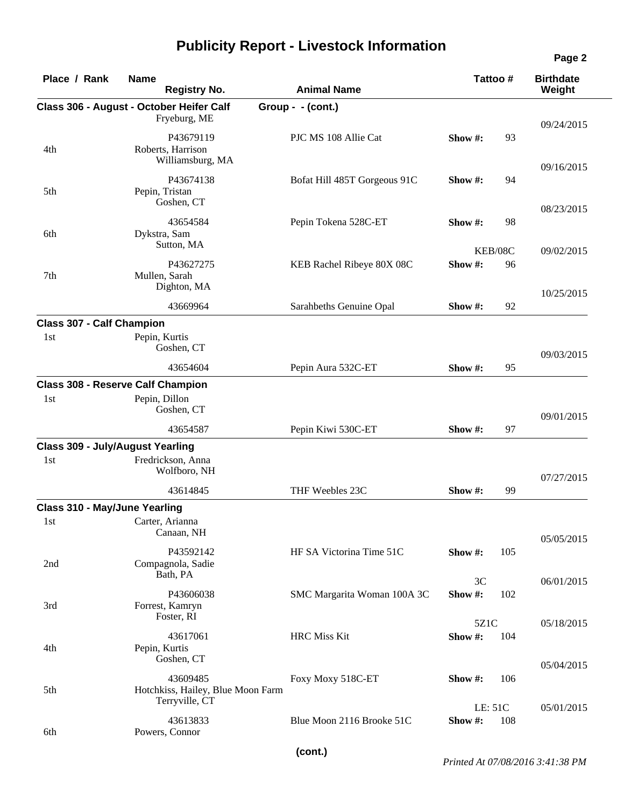| Place / Rank                            | <b>Name</b><br><b>Registry No.</b>                          | <b>Animal Name</b>           |                    | Tattoo #      | <b>Birthdate</b><br>Weight |
|-----------------------------------------|-------------------------------------------------------------|------------------------------|--------------------|---------------|----------------------------|
|                                         | Class 306 - August - October Heifer Calf<br>Fryeburg, ME    | Group - - (cont.)            |                    |               |                            |
| 4th                                     | P43679119<br>Roberts, Harrison<br>Williamsburg, MA          | PJC MS 108 Allie Cat         | Show #:            | 93            | 09/24/2015                 |
| 5th                                     | P43674138<br>Pepin, Tristan<br>Goshen, CT                   | Bofat Hill 485T Gorgeous 91C | Show $#$ :         | 94            | 09/16/2015                 |
| 6th                                     | 43654584<br>Dykstra, Sam<br>Sutton, MA                      | Pepin Tokena 528C-ET         | Show #:            | 98            | 08/23/2015                 |
| 7th                                     | P43627275<br>Mullen, Sarah<br>Dighton, MA                   | KEB Rachel Ribeye 80X 08C    | Show #:            | KEB/08C<br>96 | 09/02/2015                 |
|                                         | 43669964                                                    | Sarahbeths Genuine Opal      | Show $#$ :         | 92            | 10/25/2015                 |
| <b>Class 307 - Calf Champion</b>        |                                                             |                              |                    |               |                            |
| 1st                                     | Pepin, Kurtis<br>Goshen, CT                                 |                              |                    |               | 09/03/2015                 |
|                                         | 43654604                                                    | Pepin Aura 532C-ET           | Show $#$ :         | 95            |                            |
|                                         | <b>Class 308 - Reserve Calf Champion</b>                    |                              |                    |               |                            |
| 1st                                     | Pepin, Dillon<br>Goshen, CT                                 |                              |                    |               | 09/01/2015                 |
|                                         | 43654587                                                    | Pepin Kiwi 530C-ET           | Show $#$ :         | 97            |                            |
| <b>Class 309 - July/August Yearling</b> |                                                             |                              |                    |               |                            |
| 1st                                     | Fredrickson, Anna<br>Wolfboro, NH                           |                              |                    |               | 07/27/2015                 |
|                                         | 43614845                                                    | THF Weebles 23C              | Show #:            | 99            |                            |
| <b>Class 310 - May/June Yearling</b>    |                                                             |                              |                    |               |                            |
| 1st                                     | Carter, Arianna<br>Canaan, NH                               |                              |                    |               | 05/05/2015                 |
| 2nd                                     | P43592142<br>Compagnola, Sadie<br>Bath, PA                  | HF SA Victorina Time 51C     | Show #:            | 105           |                            |
| 3rd                                     | P43606038<br>Forrest, Kamryn                                | SMC Margarita Woman 100A 3C  | 3C<br>Show#:       | 102           | 06/01/2015                 |
|                                         | Foster, RI                                                  |                              | 5Z1C               |               | 05/18/2015                 |
| 4th                                     | 43617061<br>Pepin, Kurtis                                   | <b>HRC</b> Miss Kit          | Show #:            | 104           |                            |
| 5th                                     | Goshen, CT<br>43609485<br>Hotchkiss, Hailey, Blue Moon Farm | Foxy Moxy 518C-ET            | Show $#$ :         | 106           | 05/04/2015                 |
| 6th                                     | Terryville, CT<br>43613833<br>Powers, Connor                | Blue Moon 2116 Brooke 51C    | LE: 51C<br>Show #: | 108           | 05/01/2015                 |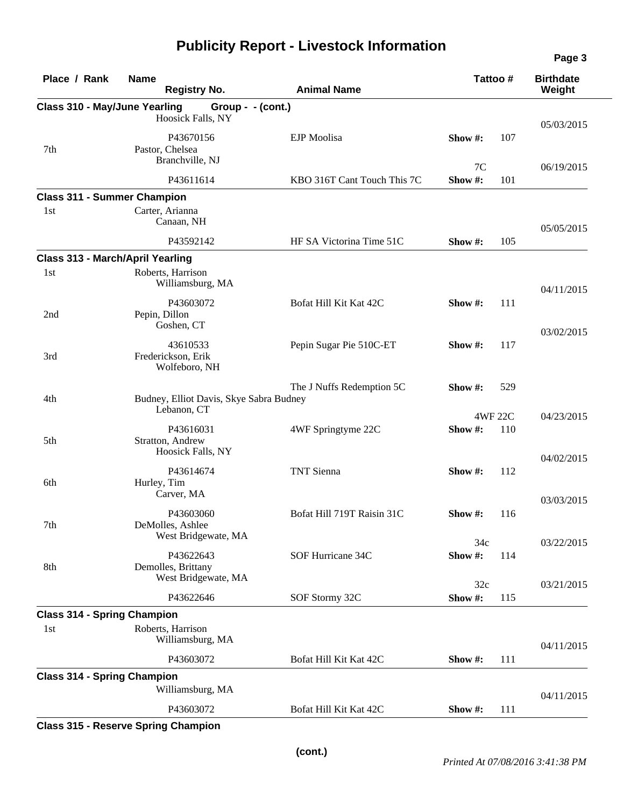| Place / Rank                              | <b>Name</b><br><b>Registry No.</b>                     | <b>Animal Name</b>          | Tattoo#       |     | <b>Birthdate</b><br>Weight |
|-------------------------------------------|--------------------------------------------------------|-----------------------------|---------------|-----|----------------------------|
| <b>Class 310 - May/June Yearling</b>      | Group - - (cont.)                                      |                             |               |     |                            |
|                                           | Hoosick Falls, NY                                      |                             |               |     | 05/03/2015                 |
| 7th                                       | P43670156<br>Pastor, Chelsea<br>Branchville, NJ        | EJP Moolisa                 | Show $#$ :    | 107 |                            |
|                                           | P43611614                                              | KBO 316T Cant Touch This 7C | 7C<br>Show#:  | 101 | 06/19/2015                 |
| <b>Class 311 - Summer Champion</b>        |                                                        |                             |               |     |                            |
| 1st                                       | Carter, Arianna<br>Canaan, NH                          |                             |               |     | 05/05/2015                 |
|                                           | P43592142                                              | HF SA Victorina Time 51C    | Show #:       | 105 |                            |
| <b>Class 313 - March/April Yearling</b>   |                                                        |                             |               |     |                            |
| 1st                                       | Roberts, Harrison<br>Williamsburg, MA                  |                             |               |     | 04/11/2015                 |
| 2nd                                       | P43603072<br>Pepin, Dillon<br>Goshen, CT               | Bofat Hill Kit Kat 42C      | Show #:       | 111 |                            |
| 3rd                                       | 43610533<br>Frederickson, Erik<br>Wolfeboro, NH        | Pepin Sugar Pie 510C-ET     | Show $#$ :    | 117 | 03/02/2015                 |
| 4th                                       | Budney, Elliot Davis, Skye Sabra Budney                | The J Nuffs Redemption 5C   | Show #:       | 529 |                            |
|                                           | Lebanon, CT                                            |                             | 4WF 22C       |     | 04/23/2015                 |
| 5th                                       | P43616031<br>Stratton, Andrew<br>Hoosick Falls, NY     | 4WF Springtyme 22C          | Show#:        | 110 |                            |
| 6th                                       | P43614674<br>Hurley, Tim<br>Carver, MA                 | <b>TNT</b> Sienna           | Show#:        | 112 | 04/02/2015                 |
| 7th                                       | P43603060<br>DeMolles, Ashlee                          | Bofat Hill 719T Raisin 31C  | Show $#$ :    | 116 | 03/03/2015                 |
| 8th                                       | West Bridgewate, MA<br>P43622643<br>Demolles, Brittany | SOF Hurricane 34C           | 34c<br>Show#: | 114 | 03/22/2015                 |
|                                           | West Bridgewate, MA<br>P43622646                       | SOF Stormy 32C              | 32c<br>Show#: | 115 | 03/21/2015                 |
|                                           |                                                        |                             |               |     |                            |
| <b>Class 314 - Spring Champion</b><br>1st | Roberts, Harrison<br>Williamsburg, MA                  |                             |               |     |                            |
|                                           | P43603072                                              | Bofat Hill Kit Kat 42C      | Show #:       | 111 | 04/11/2015                 |
| <b>Class 314 - Spring Champion</b>        |                                                        |                             |               |     |                            |
|                                           | Williamsburg, MA                                       |                             |               |     | 04/11/2015                 |
|                                           | P43603072                                              | Bofat Hill Kit Kat 42C      | Show $#$ :    | 111 |                            |

**Class 315 - Reserve Spring Champion**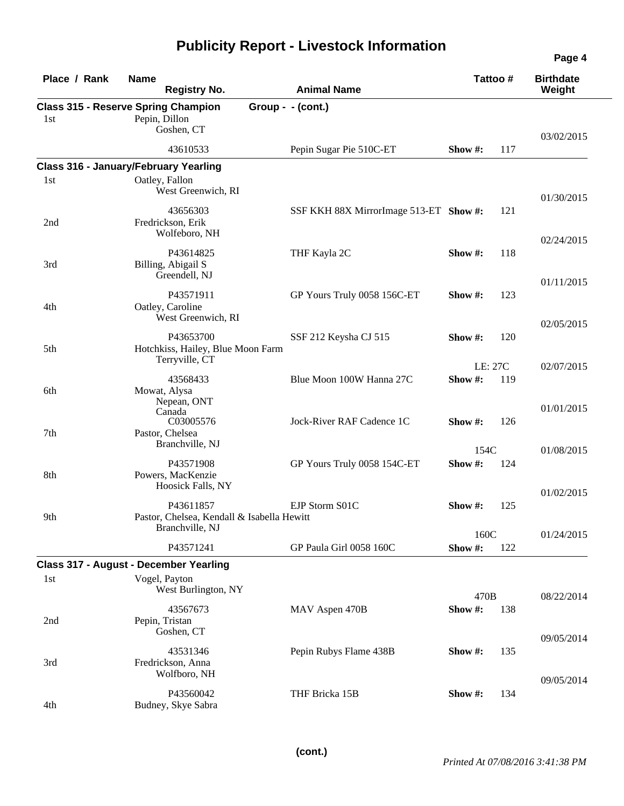| Place / Rank | <b>Name</b><br><b>Registry No.</b>                                                   | <b>Animal Name</b>                     | Tattoo#                  | <b>Birthdate</b><br>Weight |
|--------------|--------------------------------------------------------------------------------------|----------------------------------------|--------------------------|----------------------------|
| 1st          | <b>Class 315 - Reserve Spring Champion</b><br>Pepin, Dillon<br>Goshen, CT            | $Group - (cont.)$                      |                          | 03/02/2015                 |
|              | 43610533                                                                             | Pepin Sugar Pie 510C-ET                | 117<br>Show #:           |                            |
| 1st          | <b>Class 316 - January/February Yearling</b><br>Oatley, Fallon<br>West Greenwich, RI |                                        |                          | 01/30/2015                 |
| 2nd          | 43656303<br>Fredrickson, Erik<br>Wolfeboro, NH                                       | SSF KKH 88X MirrorImage 513-ET Show #: | 121                      | 02/24/2015                 |
| 3rd          | P43614825<br>Billing, Abigail S<br>Greendell, NJ                                     | THF Kayla 2C                           | Show #:<br>118           |                            |
| 4th          | P43571911<br>Oatley, Caroline<br>West Greenwich, RI                                  | GP Yours Truly 0058 156C-ET            | 123<br>Show $#$ :        | 01/11/2015                 |
| 5th          | P43653700<br>Hotchkiss, Hailey, Blue Moon Farm<br>Terryville, CT                     | SSF 212 Keysha CJ 515                  | Show #:<br>120           | 02/05/2015                 |
| 6th          | 43568433<br>Mowat, Alysa<br>Nepean, ONT                                              | Blue Moon 100W Hanna 27C               | LE: 27C<br>Show#:<br>119 | 02/07/2015                 |
| 7th          | Canada<br>C03005576<br>Pastor, Chelsea<br>Branchville, NJ                            | Jock-River RAF Cadence 1C              | Show #:<br>126           | 01/01/2015                 |
| 8th          | P43571908<br>Powers, MacKenzie<br>Hoosick Falls, NY                                  | GP Yours Truly 0058 154C-ET            | 154C<br>Show#:<br>124    | 01/08/2015                 |
| 9th          | P43611857<br>Pastor, Chelsea, Kendall & Isabella Hewitt<br>Branchville, NJ           | EJP Storm S01C                         | 125<br>Show $#$ :        | 01/02/2015                 |
|              | P43571241                                                                            | GP Paula Girl 0058 160C                | 160C<br>Show#:<br>122    | 01/24/2015                 |
|              | <b>Class 317 - August - December Yearling</b>                                        |                                        |                          |                            |
| 1st          | Vogel, Payton<br>West Burlington, NY                                                 |                                        | 470B                     | 08/22/2014                 |
| 2nd          | 43567673<br>Pepin, Tristan<br>Goshen, CT                                             | MAV Aspen 470B                         | Show#:<br>138            | 09/05/2014                 |
| 3rd          | 43531346<br>Fredrickson, Anna<br>Wolfboro, NH                                        | Pepin Rubys Flame 438B                 | Show #:<br>135           |                            |
| 4th          | P43560042<br>Budney, Skye Sabra                                                      | THF Bricka 15B                         | 134<br>Show #:           | 09/05/2014                 |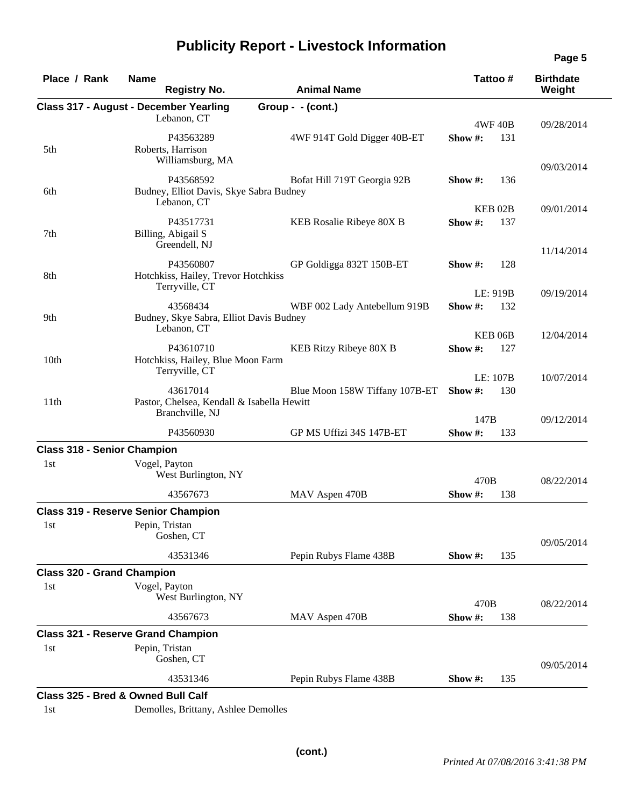|  |  |  | <b>Publicity Report - Livestock Information</b> |
|--|--|--|-------------------------------------------------|
|--|--|--|-------------------------------------------------|

| Place / Rank                       | <b>Name</b><br><b>Registry No.</b>                                        | <b>Animal Name</b>             |         | Tattoo#            | <b>Birthdate</b><br>Weight |
|------------------------------------|---------------------------------------------------------------------------|--------------------------------|---------|--------------------|----------------------------|
|                                    | <b>Class 317 - August - December Yearling</b>                             | Group - - (cont.)              |         |                    |                            |
|                                    | Lebanon, CT                                                               |                                |         | <b>4WF 40B</b>     | 09/28/2014                 |
| 5th                                | P43563289<br>Roberts, Harrison<br>Williamsburg, MA                        | 4WF 914T Gold Digger 40B-ET    | Show #: | 131                |                            |
|                                    |                                                                           |                                |         |                    | 09/03/2014                 |
| 6th                                | P43568592<br>Budney, Elliot Davis, Skye Sabra Budney<br>Lebanon, CT       | Bofat Hill 719T Georgia 92B    | Show #: | 136                |                            |
|                                    |                                                                           |                                |         | KEB <sub>02B</sub> | 09/01/2014                 |
| 7th                                | P43517731<br>Billing, Abigail S<br>Greendell, NJ                          | KEB Rosalie Ribeye 80X B       | Show#:  | 137                | 11/14/2014                 |
|                                    | P43560807                                                                 | GP Goldigga 832T 150B-ET       | Show #: | 128                |                            |
| 8th                                | Hotchkiss, Hailey, Trevor Hotchkiss<br>Terryville, CT                     |                                |         |                    |                            |
|                                    |                                                                           |                                |         | LE: 919B           | 09/19/2014                 |
| 9th                                | 43568434<br>Budney, Skye Sabra, Elliot Davis Budney<br>Lebanon, CT        | WBF 002 Lady Antebellum 919B   | Show #: | 132                |                            |
|                                    |                                                                           |                                |         | KEB <sub>06B</sub> | 12/04/2014                 |
| 10 <sub>th</sub>                   | P43610710<br>Hotchkiss, Hailey, Blue Moon Farm<br>Terryville, CT          | KEB Ritzy Ribeye 80X B         | Show #: | 127                |                            |
|                                    |                                                                           |                                |         | LE: 107B           | 10/07/2014                 |
| 11th                               | 43617014<br>Pastor, Chelsea, Kendall & Isabella Hewitt<br>Branchville, NJ | Blue Moon 158W Tiffany 107B-ET | Show#:  | 130                |                            |
|                                    |                                                                           |                                | 147B    |                    | 09/12/2014                 |
|                                    | P43560930                                                                 | GP MS Uffizi 34S 147B-ET       | Show #: | 133                |                            |
| <b>Class 318 - Senior Champion</b> |                                                                           |                                |         |                    |                            |
| 1st                                | Vogel, Payton<br>West Burlington, NY                                      |                                | 470B    |                    | 08/22/2014                 |
|                                    | 43567673                                                                  | MAV Aspen 470B                 | Show #: | 138                |                            |
|                                    | <b>Class 319 - Reserve Senior Champion</b>                                |                                |         |                    |                            |
| 1st                                | Pepin, Tristan<br>Goshen, CT                                              |                                |         |                    | 09/05/2014                 |
|                                    | 43531346                                                                  | Pepin Rubys Flame 438B         | Show #: | 135                |                            |
| <b>Class 320 - Grand Champion</b>  |                                                                           |                                |         |                    |                            |
| 1st                                | Vogel, Payton                                                             |                                |         |                    |                            |
|                                    | West Burlington, NY                                                       |                                | 470B    |                    | 08/22/2014                 |
|                                    | 43567673                                                                  | MAV Aspen 470B                 | Show #: | 138                |                            |
|                                    | <b>Class 321 - Reserve Grand Champion</b>                                 |                                |         |                    |                            |
| 1st                                | Pepin, Tristan<br>Goshen, CT                                              |                                |         |                    |                            |
|                                    |                                                                           |                                |         |                    | 09/05/2014                 |
|                                    | 43531346<br>Class 325 - Bred & Owned Bull Calf                            | Pepin Rubys Flame 438B         | Show #: | 135                |                            |

1st Demolles, Brittany, Ashlee Demolles